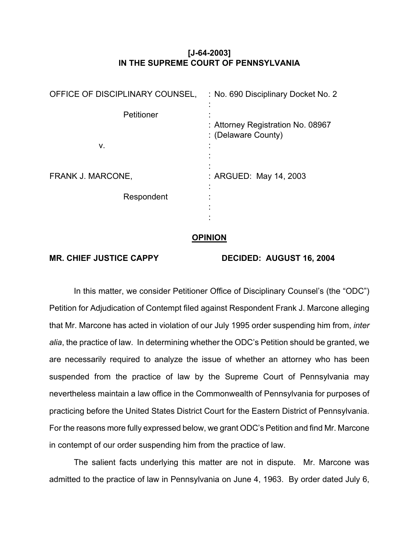## **[J-64-2003] IN THE SUPREME COURT OF PENNSYLVANIA**

| OFFICE OF DISCIPLINARY COUNSEL, | : No. 690 Disciplinary Docket No. 2                      |
|---------------------------------|----------------------------------------------------------|
| Petitioner                      | : Attorney Registration No. 08967<br>: (Delaware County) |
| ν.                              |                                                          |
| FRANK J. MARCONE,               | : ARGUED: May 14, 2003                                   |
| Respondent                      |                                                          |

## **OPINION**

MR. CHIEF JUSTICE CAPPY DECIDED: AUGUST 16, 2004

 In this matter, we consider Petitioner Office of Disciplinary Counsel's (the "ODC") Petition for Adjudication of Contempt filed against Respondent Frank J. Marcone alleging that Mr. Marcone has acted in violation of our July 1995 order suspending him from, *inter alia*, the practice of law. In determining whether the ODC's Petition should be granted, we are necessarily required to analyze the issue of whether an attorney who has been suspended from the practice of law by the Supreme Court of Pennsylvania may nevertheless maintain a law office in the Commonwealth of Pennsylvania for purposes of practicing before the United States District Court for the Eastern District of Pennsylvania. For the reasons more fully expressed below, we grant ODC's Petition and find Mr. Marcone in contempt of our order suspending him from the practice of law.

 The salient facts underlying this matter are not in dispute. Mr. Marcone was admitted to the practice of law in Pennsylvania on June 4, 1963. By order dated July 6,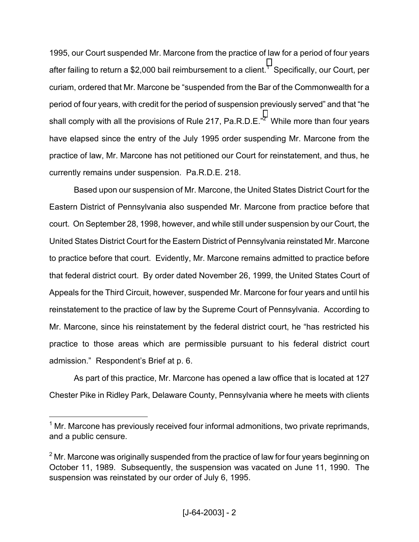1995, our Court suspended Mr. Marcone from the practice of law for a period of four years after failing to return a \$2,000 bail reimbursement to a client.<sup>[1](#page-1-0)</sup> Specifically, our Court, per curiam, ordered that Mr. Marcone be "suspended from the Bar of the Commonwealth for a period of four years, with credit for the period of suspension previously served" and that "he shall comply with all the provisions of Rule [2](#page-1-1)17, Pa.R.D.E. $^{n2}$  While more than four years have elapsed since the entry of the July 1995 order suspending Mr. Marcone from the practice of law, Mr. Marcone has not petitioned our Court for reinstatement, and thus, he currently remains under suspension. Pa.R.D.E. 218.

 Based upon our suspension of Mr. Marcone, the United States District Court for the Eastern District of Pennsylvania also suspended Mr. Marcone from practice before that court. On September 28, 1998, however, and while still under suspension by our Court, the United States District Court for the Eastern District of Pennsylvania reinstated Mr. Marcone to practice before that court. Evidently, Mr. Marcone remains admitted to practice before that federal district court. By order dated November 26, 1999, the United States Court of Appeals for the Third Circuit, however, suspended Mr. Marcone for four years and until his reinstatement to the practice of law by the Supreme Court of Pennsylvania. According to Mr. Marcone, since his reinstatement by the federal district court, he "has restricted his practice to those areas which are permissible pursuant to his federal district court admission." Respondent's Brief at p. 6.

As part of this practice, Mr. Marcone has opened a law office that is located at 127 Chester Pike in Ridley Park, Delaware County, Pennsylvania where he meets with clients

<u>.</u>

<span id="page-1-0"></span> $1$  Mr. Marcone has previously received four informal admonitions, two private reprimands, and a public censure.

<span id="page-1-1"></span> $2$  Mr. Marcone was originally suspended from the practice of law for four years beginning on October 11, 1989. Subsequently, the suspension was vacated on June 11, 1990. The suspension was reinstated by our order of July 6, 1995.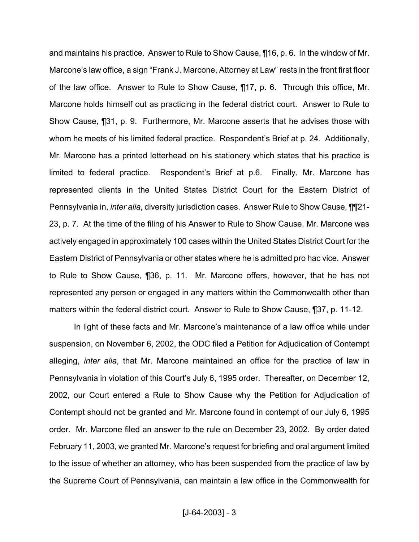and maintains his practice. Answer to Rule to Show Cause, ¶16, p. 6. In the window of Mr. Marcone's law office, a sign "Frank J. Marcone, Attorney at Law" rests in the front first floor of the law office. Answer to Rule to Show Cause, ¶17, p. 6. Through this office, Mr. Marcone holds himself out as practicing in the federal district court. Answer to Rule to Show Cause, ¶31, p. 9. Furthermore, Mr. Marcone asserts that he advises those with whom he meets of his limited federal practice. Respondent's Brief at p. 24. Additionally, Mr. Marcone has a printed letterhead on his stationery which states that his practice is limited to federal practice. Respondent's Brief at p.6. Finally, Mr. Marcone has represented clients in the United States District Court for the Eastern District of Pennsylvania in, *inter alia*, diversity jurisdiction cases. Answer Rule to Show Cause, ¶¶21- 23, p. 7. At the time of the filing of his Answer to Rule to Show Cause, Mr. Marcone was actively engaged in approximately 100 cases within the United States District Court for the Eastern District of Pennsylvania or other states where he is admitted pro hac vice. Answer to Rule to Show Cause, ¶36, p. 11. Mr. Marcone offers, however, that he has not represented any person or engaged in any matters within the Commonwealth other than matters within the federal district court. Answer to Rule to Show Cause, ¶37, p. 11-12.

 In light of these facts and Mr. Marcone's maintenance of a law office while under suspension, on November 6, 2002, the ODC filed a Petition for Adjudication of Contempt alleging, *inter alia*, that Mr. Marcone maintained an office for the practice of law in Pennsylvania in violation of this Court's July 6, 1995 order. Thereafter, on December 12, 2002, our Court entered a Rule to Show Cause why the Petition for Adjudication of Contempt should not be granted and Mr. Marcone found in contempt of our July 6, 1995 order. Mr. Marcone filed an answer to the rule on December 23, 2002. By order dated February 11, 2003, we granted Mr. Marcone's request for briefing and oral argument limited to the issue of whether an attorney, who has been suspended from the practice of law by the Supreme Court of Pennsylvania, can maintain a law office in the Commonwealth for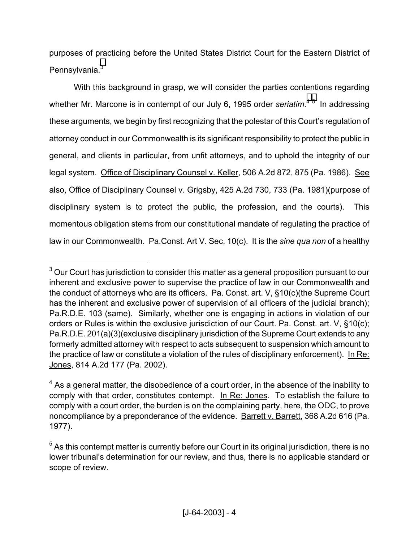purposes of practicing before the United States District Court for the Eastern District of Pennsylvania.<sup>[3](#page-3-0)</sup>

 With this background in grasp, we will consider the parties contentions regarding whether Mr. Marcone is in contempt of our July 6, 199[5](#page-3-2) order *seriatim*.<sup>[4](#page-3-1)5</sup> In addressing these arguments, we begin by first recognizing that the polestar of this Court's regulation of attorney conduct in our Commonwealth is its significant responsibility to protect the public in general, and clients in particular, from unfit attorneys, and to uphold the integrity of our legal system. Office of Disciplinary Counsel v. Keller, 506 A.2d 872, 875 (Pa. 1986). See also, Office of Disciplinary Counsel v. Grigsby, 425 A.2d 730, 733 (Pa. 1981)(purpose of disciplinary system is to protect the public, the profession, and the courts). This momentous obligation stems from our constitutional mandate of regulating the practice of law in our Commonwealth. Pa.Const. Art V. Sec. 10(c). It is the *sine qua non* of a healthy

 $\overline{a}$ 

<span id="page-3-0"></span> $^3$  Our Court has jurisdiction to consider this matter as a general proposition pursuant to our inherent and exclusive power to supervise the practice of law in our Commonwealth and the conduct of attorneys who are its officers. Pa. Const. art. V, §10(c)(the Supreme Court has the inherent and exclusive power of supervision of all officers of the judicial branch); Pa.R.D.E. 103 (same). Similarly, whether one is engaging in actions in violation of our orders or Rules is within the exclusive jurisdiction of our Court. Pa. Const. art. V, §10(c); Pa.R.D.E. 201(a)(3)(exclusive disciplinary jurisdiction of the Supreme Court extends to any formerly admitted attorney with respect to acts subsequent to suspension which amount to the practice of law or constitute a violation of the rules of disciplinary enforcement). In Re: Jones, 814 A.2d 177 (Pa. 2002).

<span id="page-3-1"></span> $4$  As a general matter, the disobedience of a court order, in the absence of the inability to comply with that order, constitutes contempt. In Re: Jones. To establish the failure to comply with a court order, the burden is on the complaining party, here, the ODC, to prove noncompliance by a preponderance of the evidence. Barrett v. Barrett, 368 A.2d 616 (Pa. 1977).

<span id="page-3-2"></span> $<sup>5</sup>$  As this contempt matter is currently before our Court in its original jurisdiction, there is no</sup> lower tribunal's determination for our review, and thus, there is no applicable standard or scope of review.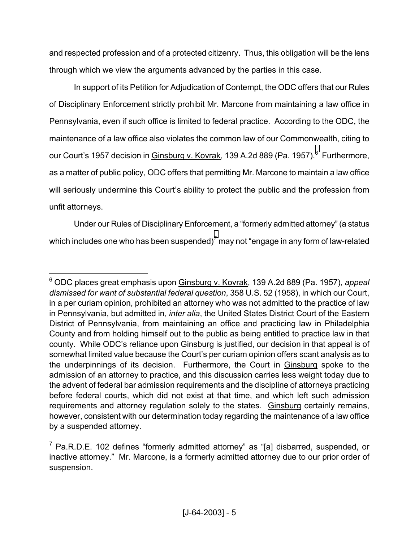and respected profession and of a protected citizenry. Thus, this obligation will be the lens through which we view the arguments advanced by the parties in this case.

 In support of its Petition for Adjudication of Contempt, the ODC offers that our Rules of Disciplinary Enforcement strictly prohibit Mr. Marcone from maintaining a law office in Pennsylvania, even if such office is limited to federal practice. According to the ODC, the maintenance of a law office also violates the common law of our Commonwealth, citing to our Court's 1957 decision in <u>Ginsburg v. Kovrak</u>, 139 A.2d 889 (Pa. 1957).<sup>[6](#page-4-0)</sup> Furthermore, as a matter of public policy, ODC offers that permitting Mr. Marcone to maintain a law office will seriously undermine this Court's ability to protect the public and the profession from unfit attorneys.

Under our Rules of Disciplinary Enforcement, a "formerly admitted attorney" (a status which includes one who has been suspended)<sup>[7](#page-4-1)</sup> may not "engage in any form of law-related

<u>.</u>

<span id="page-4-0"></span><sup>6</sup> ODC places great emphasis upon Ginsburg v. Kovrak, 139 A.2d 889 (Pa. 1957), *appeal dismissed for want of substantial federal question*, 358 U.S. 52 (1958), in which our Court, in a per curiam opinion, prohibited an attorney who was not admitted to the practice of law in Pennsylvania, but admitted in, *inter alia*, the United States District Court of the Eastern District of Pennsylvania, from maintaining an office and practicing law in Philadelphia County and from holding himself out to the public as being entitled to practice law in that county. While ODC's reliance upon Ginsburg is justified, our decision in that appeal is of somewhat limited value because the Court's per curiam opinion offers scant analysis as to the underpinnings of its decision. Furthermore, the Court in Ginsburg spoke to the admission of an attorney to practice, and this discussion carries less weight today due to the advent of federal bar admission requirements and the discipline of attorneys practicing before federal courts, which did not exist at that time, and which left such admission requirements and attorney regulation solely to the states. Ginsburg certainly remains, however, consistent with our determination today regarding the maintenance of a law office by a suspended attorney.

<span id="page-4-1"></span> $7$  Pa.R.D.E. 102 defines "formerly admitted attorney" as "[a] disbarred, suspended, or inactive attorney." Mr. Marcone, is a formerly admitted attorney due to our prior order of suspension.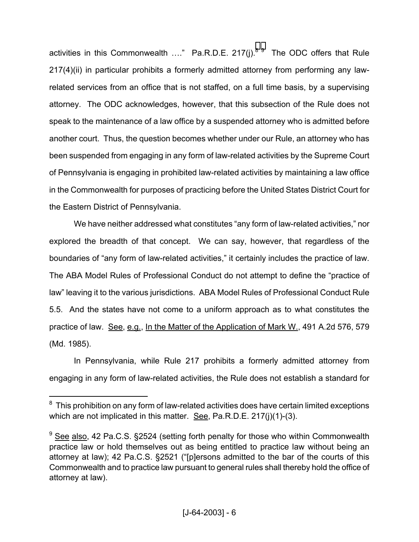activities in this Commonwealth ...." Pa.R.D.E. 217(j).<sup>[8](#page-5-0) 9</sup> The ODC offers that Rule 217(4)(ii) in particular prohibits a formerly admitted attorney from performing any lawrelated services from an office that is not staffed, on a full time basis, by a supervising attorney. The ODC acknowledges, however, that this subsection of the Rule does not speak to the maintenance of a law office by a suspended attorney who is admitted before another court. Thus, the question becomes whether under our Rule, an attorney who has been suspended from engaging in any form of law-related activities by the Supreme Court of Pennsylvania is engaging in prohibited law-related activities by maintaining a law office in the Commonwealth for purposes of practicing before the United States District Court for the Eastern District of Pennsylvania.

We have neither addressed what constitutes "any form of law-related activities," nor explored the breadth of that concept. We can say, however, that regardless of the boundaries of "any form of law-related activities," it certainly includes the practice of law. The ABA Model Rules of Professional Conduct do not attempt to define the "practice of law" leaving it to the various jurisdictions. ABA Model Rules of Professional Conduct Rule 5.5. And the states have not come to a uniform approach as to what constitutes the practice of law. See, e.g., In the Matter of the Application of Mark W., 491 A.2d 576, 579 (Md. 1985).

In Pennsylvania, while Rule 217 prohibits a formerly admitted attorney from engaging in any form of law-related activities, the Rule does not establish a standard for

 $\overline{a}$ 

<span id="page-5-0"></span> $8\,$  This prohibition on any form of law-related activities does have certain limited exceptions which are not implicated in this matter. See, Pa.R.D.E. 217(j)(1)-(3).

<span id="page-5-1"></span><sup>&</sup>lt;sup>9</sup> See also, 42 Pa.C.S. §2524 (setting forth penalty for those who within Commonwealth practice law or hold themselves out as being entitled to practice law without being an attorney at law); 42 Pa.C.S. §2521 ("[p]ersons admitted to the bar of the courts of this Commonwealth and to practice law pursuant to general rules shall thereby hold the office of attorney at law).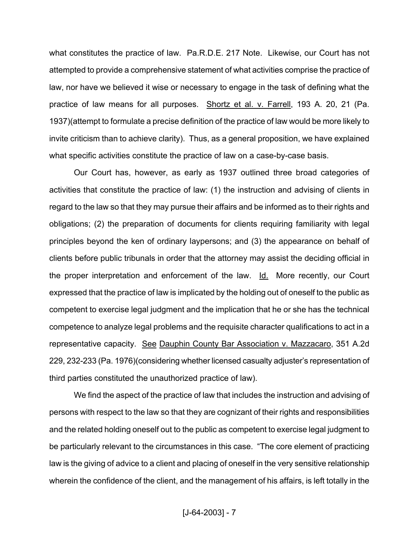what constitutes the practice of law. Pa.R.D.E. 217 Note. Likewise, our Court has not attempted to provide a comprehensive statement of what activities comprise the practice of law, nor have we believed it wise or necessary to engage in the task of defining what the practice of law means for all purposes. Shortz et al. v. Farrell, 193 A. 20, 21 (Pa. 1937)(attempt to formulate a precise definition of the practice of law would be more likely to invite criticism than to achieve clarity). Thus, as a general proposition, we have explained what specific activities constitute the practice of law on a case-by-case basis.

Our Court has, however, as early as 1937 outlined three broad categories of activities that constitute the practice of law: (1) the instruction and advising of clients in regard to the law so that they may pursue their affairs and be informed as to their rights and obligations; (2) the preparation of documents for clients requiring familiarity with legal principles beyond the ken of ordinary laypersons; and (3) the appearance on behalf of clients before public tribunals in order that the attorney may assist the deciding official in the proper interpretation and enforcement of the law. Id. More recently, our Court expressed that the practice of law is implicated by the holding out of oneself to the public as competent to exercise legal judgment and the implication that he or she has the technical competence to analyze legal problems and the requisite character qualifications to act in a representative capacity. See Dauphin County Bar Association v. Mazzacaro, 351 A.2d 229, 232-233 (Pa. 1976)(considering whether licensed casualty adjuster's representation of third parties constituted the unauthorized practice of law).

We find the aspect of the practice of law that includes the instruction and advising of persons with respect to the law so that they are cognizant of their rights and responsibilities and the related holding oneself out to the public as competent to exercise legal judgment to be particularly relevant to the circumstances in this case. "The core element of practicing law is the giving of advice to a client and placing of oneself in the very sensitive relationship wherein the confidence of the client, and the management of his affairs, is left totally in the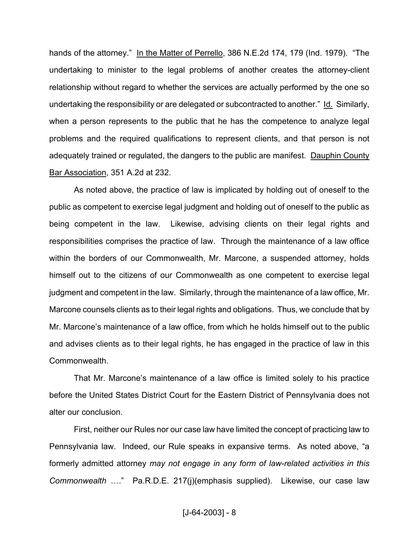hands of the attorney." In the Matter of Perrello, 386 N.E.2d 174, 179 (Ind. 1979). "The undertaking to minister to the legal problems of another creates the attorney-client relationship without regard to whether the services are actually performed by the one so undertaking the responsibility or are delegated or subcontracted to another." Id. Similarly, when a person represents to the public that he has the competence to analyze legal problems and the required qualifications to represent clients, and that person is not adequately trained or regulated, the dangers to the public are manifest. Dauphin County Bar Association, 351 A.2d at 232.

As noted above, the practice of law is implicated by holding out of oneself to the public as competent to exercise legal judgment and holding out of oneself to the public as being competent in the law. Likewise, advising clients on their legal rights and responsibilities comprises the practice of law. Through the maintenance of a law office within the borders of our Commonwealth, Mr. Marcone, a suspended attorney, holds himself out to the citizens of our Commonwealth as one competent to exercise legal judgment and competent in the law. Similarly, through the maintenance of a law office, Mr. Marcone counsels clients as to their legal rights and obligations. Thus, we conclude that by Mr. Marcone's maintenance of a law office, from which he holds himself out to the public and advises clients as to their legal rights, he has engaged in the practice of law in this Commonwealth.

That Mr. Marcone's maintenance of a law office is limited solely to his practice before the United States District Court for the Eastern District of Pennsylvania does not alter our conclusion.

First, neither our Rules nor our case law have limited the concept of practicing law to Pennsylvania law. Indeed, our Rule speaks in expansive terms. As noted above, "a formerly admitted attorney *may not engage in any form of law-related activities in this Commonwealth* …." Pa.R.D.E. 217(j)(emphasis supplied). Likewise, our case law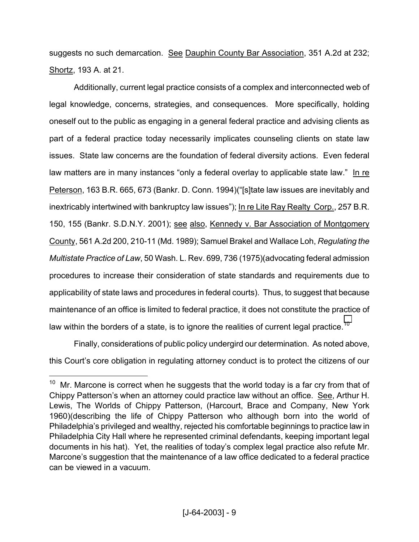suggests no such demarcation. See Dauphin County Bar Association, 351 A.2d at 232; Shortz, 193 A. at 21.

Additionally, current legal practice consists of a complex and interconnected web of legal knowledge, concerns, strategies, and consequences. More specifically, holding oneself out to the public as engaging in a general federal practice and advising clients as part of a federal practice today necessarily implicates counseling clients on state law issues. State law concerns are the foundation of federal diversity actions. Even federal law matters are in many instances "only a federal overlay to applicable state law." In re Peterson, 163 B.R. 665, 673 (Bankr. D. Conn. 1994)("[s]tate law issues are inevitably and inextricably intertwined with bankruptcy law issues"); In re Lite Ray Realty Corp., 257 B.R. 150, 155 (Bankr. S.D.N.Y. 2001); see also, Kennedy v. Bar Association of Montgomery County, 561 A.2d 200, 210-11 (Md. 1989); Samuel Brakel and Wallace Loh, *Regulating the Multistate Practice of Law*, 50 Wash. L. Rev. 699, 736 (1975)(advocating federal admission procedures to increase their consideration of state standards and requirements due to applicability of state laws and procedures in federal courts). Thus, to suggest that because maintenance of an office is limited to federal practice, it does not constitute the practice of law within the borders of a state, is to ignore the realities of current legal practice.<sup>[10](#page-8-0)</sup>

Finally, considerations of public policy undergird our determination. As noted above, this Court's core obligation in regulating attorney conduct is to protect the citizens of our

<u>.</u>

<span id="page-8-0"></span> $10$  Mr. Marcone is correct when he suggests that the world today is a far cry from that of Chippy Patterson's when an attorney could practice law without an office. See, Arthur H. Lewis, The Worlds of Chippy Patterson, (Harcourt, Brace and Company, New York 1960)(describing the life of Chippy Patterson who although born into the world of Philadelphia's privileged and wealthy, rejected his comfortable beginnings to practice law in Philadelphia City Hall where he represented criminal defendants, keeping important legal documents in his hat). Yet, the realities of today's complex legal practice also refute Mr. Marcone's suggestion that the maintenance of a law office dedicated to a federal practice can be viewed in a vacuum.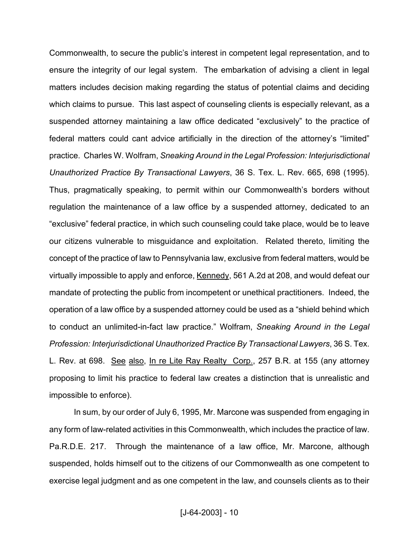Commonwealth, to secure the public's interest in competent legal representation, and to ensure the integrity of our legal system. The embarkation of advising a client in legal matters includes decision making regarding the status of potential claims and deciding which claims to pursue. This last aspect of counseling clients is especially relevant, as a suspended attorney maintaining a law office dedicated "exclusively" to the practice of federal matters could cant advice artificially in the direction of the attorney's "limited" practice. Charles W. Wolfram, *Sneaking Around in the Legal Profession: Interjurisdictional Unauthorized Practice By Transactional Lawyers*, 36 S. Tex. L. Rev. 665, 698 (1995). Thus, pragmatically speaking, to permit within our Commonwealth's borders without regulation the maintenance of a law office by a suspended attorney, dedicated to an "exclusive" federal practice, in which such counseling could take place, would be to leave our citizens vulnerable to misguidance and exploitation. Related thereto, limiting the concept of the practice of law to Pennsylvania law, exclusive from federal matters, would be virtually impossible to apply and enforce, Kennedy, 561 A.2d at 208, and would defeat our mandate of protecting the public from incompetent or unethical practitioners. Indeed, the operation of a law office by a suspended attorney could be used as a "shield behind which to conduct an unlimited-in-fact law practice." Wolfram, *Sneaking Around in the Legal Profession: Interjurisdictional Unauthorized Practice By Transactional Lawyers*, 36 S. Tex. L. Rev. at 698. See also, In re Lite Ray Realty Corp., 257 B.R. at 155 (any attorney proposing to limit his practice to federal law creates a distinction that is unrealistic and impossible to enforce).

In sum, by our order of July 6, 1995, Mr. Marcone was suspended from engaging in any form of law-related activities in this Commonwealth, which includes the practice of law. Pa.R.D.E. 217. Through the maintenance of a law office, Mr. Marcone, although suspended, holds himself out to the citizens of our Commonwealth as one competent to exercise legal judgment and as one competent in the law, and counsels clients as to their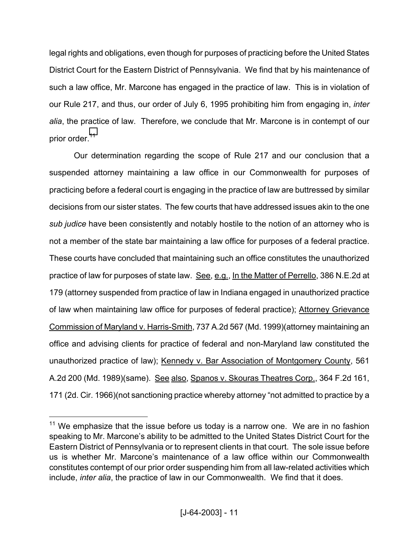legal rights and obligations, even though for purposes of practicing before the United States District Court for the Eastern District of Pennsylvania. We find that by his maintenance of such a law office, Mr. Marcone has engaged in the practice of law. This is in violation of our Rule 217, and thus, our order of July 6, 1995 prohibiting him from engaging in, *inter alia*, the practice of law. Therefore, we conclude that Mr. Marcone is in contempt of our prior order.<sup>[11](#page-10-0)</sup>

Our determination regarding the scope of Rule 217 and our conclusion that a suspended attorney maintaining a law office in our Commonwealth for purposes of practicing before a federal court is engaging in the practice of law are buttressed by similar decisions from our sister states. The few courts that have addressed issues akin to the one *sub judice* have been consistently and notably hostile to the notion of an attorney who is not a member of the state bar maintaining a law office for purposes of a federal practice. These courts have concluded that maintaining such an office constitutes the unauthorized practice of law for purposes of state law. See, e.g., In the Matter of Perrello, 386 N.E.2d at 179 (attorney suspended from practice of law in Indiana engaged in unauthorized practice of law when maintaining law office for purposes of federal practice); Attorney Grievance Commission of Maryland v. Harris-Smith, 737 A.2d 567 (Md. 1999)(attorney maintaining an office and advising clients for practice of federal and non-Maryland law constituted the unauthorized practice of law); Kennedy v. Bar Association of Montgomery County, 561 A.2d 200 (Md. 1989)(same). See also, Spanos v. Skouras Theatres Corp., 364 F.2d 161, 171 (2d. Cir. 1966)(not sanctioning practice whereby attorney "not admitted to practice by a

<u>.</u>

<span id="page-10-0"></span> $11$  We emphasize that the issue before us today is a narrow one. We are in no fashion speaking to Mr. Marcone's ability to be admitted to the United States District Court for the Eastern District of Pennsylvania or to represent clients in that court. The sole issue before us is whether Mr. Marcone's maintenance of a law office within our Commonwealth constitutes contempt of our prior order suspending him from all law-related activities which include, *inter alia*, the practice of law in our Commonwealth. We find that it does.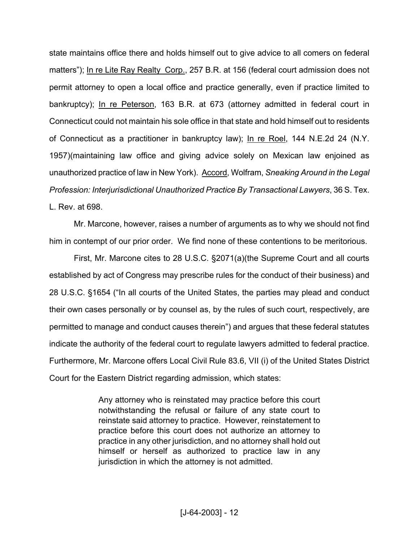state maintains office there and holds himself out to give advice to all comers on federal matters"); In re Lite Ray Realty Corp., 257 B.R. at 156 (federal court admission does not permit attorney to open a local office and practice generally, even if practice limited to bankruptcy); In re Peterson, 163 B.R. at 673 (attorney admitted in federal court in Connecticut could not maintain his sole office in that state and hold himself out to residents of Connecticut as a practitioner in bankruptcy law); In re Roel, 144 N.E.2d 24 (N.Y. 1957)(maintaining law office and giving advice solely on Mexican law enjoined as unauthorized practice of law in New York). Accord, Wolfram, *Sneaking Around in the Legal Profession: Interjurisdictional Unauthorized Practice By Transactional Lawyers*, 36 S. Tex. L. Rev. at 698.

Mr. Marcone, however, raises a number of arguments as to why we should not find him in contempt of our prior order. We find none of these contentions to be meritorious.

First, Mr. Marcone cites to 28 U.S.C. §2071(a)(the Supreme Court and all courts established by act of Congress may prescribe rules for the conduct of their business) and 28 U.S.C. §1654 ("In all courts of the United States, the parties may plead and conduct their own cases personally or by counsel as, by the rules of such court, respectively, are permitted to manage and conduct causes therein") and argues that these federal statutes indicate the authority of the federal court to regulate lawyers admitted to federal practice. Furthermore, Mr. Marcone offers Local Civil Rule 83.6, VII (i) of the United States District Court for the Eastern District regarding admission, which states:

> Any attorney who is reinstated may practice before this court notwithstanding the refusal or failure of any state court to reinstate said attorney to practice. However, reinstatement to practice before this court does not authorize an attorney to practice in any other jurisdiction, and no attorney shall hold out himself or herself as authorized to practice law in any jurisdiction in which the attorney is not admitted.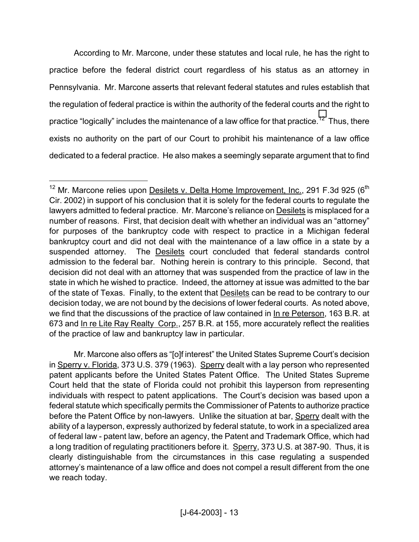According to Mr. Marcone, under these statutes and local rule, he has the right to practice before the federal district court regardless of his status as an attorney in Pennsylvania. Mr. Marcone asserts that relevant federal statutes and rules establish that the regulation of federal practice is within the authority of the federal courts and the right to practice "logically" includes the maintenance of a law office for that practice.<sup>[12](#page-12-0)</sup> Thus, there exists no authority on the part of our Court to prohibit his maintenance of a law office dedicated to a federal practice. He also makes a seemingly separate argument that to find

 $\overline{a}$ 

 Mr. Marcone also offers as "[o]f interest" the United States Supreme Court's decision in Sperry v. Florida, 373 U.S. 379 (1963). Sperry dealt with a lay person who represented patent applicants before the United States Patent Office. The United States Supreme Court held that the state of Florida could not prohibit this layperson from representing individuals with respect to patent applications. The Court's decision was based upon a federal statute which specifically permits the Commissioner of Patents to authorize practice before the Patent Office by non-lawyers. Unlike the situation at bar, Sperry dealt with the ability of a layperson, expressly authorized by federal statute, to work in a specialized area of federal law - patent law, before an agency, the Patent and Trademark Office, which had a long tradition of regulating practitioners before it. Sperry, 373 U.S. at 387-90. Thus, it is clearly distinguishable from the circumstances in this case regulating a suspended attorney's maintenance of a law office and does not compel a result different from the one we reach today.

<span id="page-12-0"></span> $12$  Mr. Marcone relies upon Desilets v. Delta Home Improvement, Inc., 291 F.3d 925 ( $6<sup>th</sup>$ Cir. 2002) in support of his conclusion that it is solely for the federal courts to regulate the lawyers admitted to federal practice. Mr. Marcone's reliance on Desilets is misplaced for a number of reasons. First, that decision dealt with whether an individual was an "attorney" for purposes of the bankruptcy code with respect to practice in a Michigan federal bankruptcy court and did not deal with the maintenance of a law office in a state by a suspended attorney. The **Desilets** court concluded that federal standards control admission to the federal bar. Nothing herein is contrary to this principle. Second, that decision did not deal with an attorney that was suspended from the practice of law in the state in which he wished to practice. Indeed, the attorney at issue was admitted to the bar of the state of Texas. Finally, to the extent that Desilets can be read to be contrary to our decision today, we are not bound by the decisions of lower federal courts. As noted above, we find that the discussions of the practice of law contained in In re Peterson, 163 B.R. at 673 and In re Lite Ray Realty Corp., 257 B.R. at 155, more accurately reflect the realities of the practice of law and bankruptcy law in particular.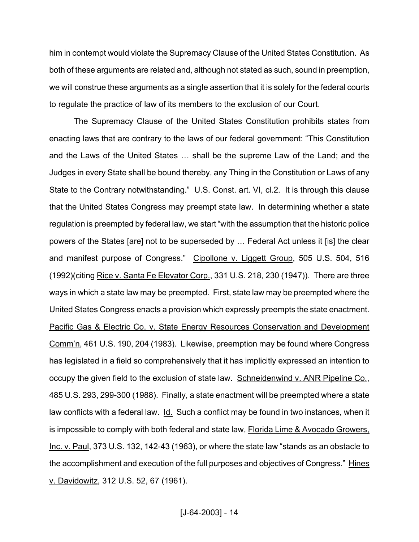him in contempt would violate the Supremacy Clause of the United States Constitution. As both of these arguments are related and, although not stated as such, sound in preemption, we will construe these arguments as a single assertion that it is solely for the federal courts to regulate the practice of law of its members to the exclusion of our Court.

The Supremacy Clause of the United States Constitution prohibits states from enacting laws that are contrary to the laws of our federal government: "This Constitution and the Laws of the United States … shall be the supreme Law of the Land; and the Judges in every State shall be bound thereby, any Thing in the Constitution or Laws of any State to the Contrary notwithstanding." U.S. Const. art. VI, cl.2. It is through this clause that the United States Congress may preempt state law. In determining whether a state regulation is preempted by federal law, we start "with the assumption that the historic police powers of the States [are] not to be superseded by … Federal Act unless it [is] the clear and manifest purpose of Congress." Cipollone v. Liggett Group, 505 U.S. 504, 516 (1992)(citing Rice v. Santa Fe Elevator Corp., 331 U.S. 218, 230 (1947)). There are three ways in which a state law may be preempted. First, state law may be preempted where the United States Congress enacts a provision which expressly preempts the state enactment. Pacific Gas & Electric Co. v. State Energy Resources Conservation and Development Comm'n, 461 U.S. 190, 204 (1983). Likewise, preemption may be found where Congress has legislated in a field so comprehensively that it has implicitly expressed an intention to occupy the given field to the exclusion of state law. Schneidenwind v. ANR Pipeline Co., 485 U.S. 293, 299-300 (1988). Finally, a state enactment will be preempted where a state law conflicts with a federal law. Id. Such a conflict may be found in two instances, when it is impossible to comply with both federal and state law, Florida Lime & Avocado Growers, Inc. v. Paul, 373 U.S. 132, 142-43 (1963), or where the state law "stands as an obstacle to the accomplishment and execution of the full purposes and objectives of Congress." Hines v. Davidowitz, 312 U.S. 52, 67 (1961).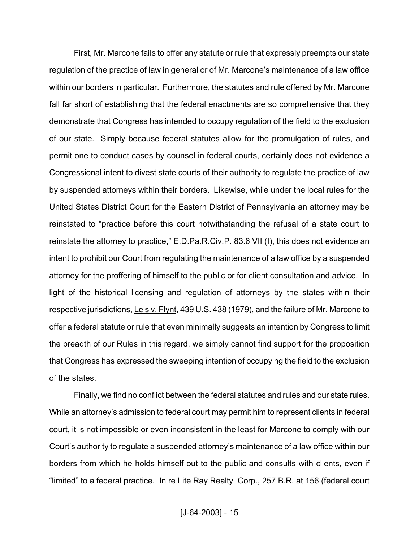First, Mr. Marcone fails to offer any statute or rule that expressly preempts our state regulation of the practice of law in general or of Mr. Marcone's maintenance of a law office within our borders in particular. Furthermore, the statutes and rule offered by Mr. Marcone fall far short of establishing that the federal enactments are so comprehensive that they demonstrate that Congress has intended to occupy regulation of the field to the exclusion of our state. Simply because federal statutes allow for the promulgation of rules, and permit one to conduct cases by counsel in federal courts, certainly does not evidence a Congressional intent to divest state courts of their authority to regulate the practice of law by suspended attorneys within their borders. Likewise, while under the local rules for the United States District Court for the Eastern District of Pennsylvania an attorney may be reinstated to "practice before this court notwithstanding the refusal of a state court to reinstate the attorney to practice," E.D.Pa.R.Civ.P. 83.6 VII (I), this does not evidence an intent to prohibit our Court from regulating the maintenance of a law office by a suspended attorney for the proffering of himself to the public or for client consultation and advice. In light of the historical licensing and regulation of attorneys by the states within their respective jurisdictions, Leis v. Flynt, 439 U.S. 438 (1979), and the failure of Mr. Marcone to offer a federal statute or rule that even minimally suggests an intention by Congress to limit the breadth of our Rules in this regard, we simply cannot find support for the proposition that Congress has expressed the sweeping intention of occupying the field to the exclusion of the states.

Finally, we find no conflict between the federal statutes and rules and our state rules. While an attorney's admission to federal court may permit him to represent clients in federal court, it is not impossible or even inconsistent in the least for Marcone to comply with our Court's authority to regulate a suspended attorney's maintenance of a law office within our borders from which he holds himself out to the public and consults with clients, even if "limited" to a federal practice. In re Lite Ray Realty Corp., 257 B.R. at 156 (federal court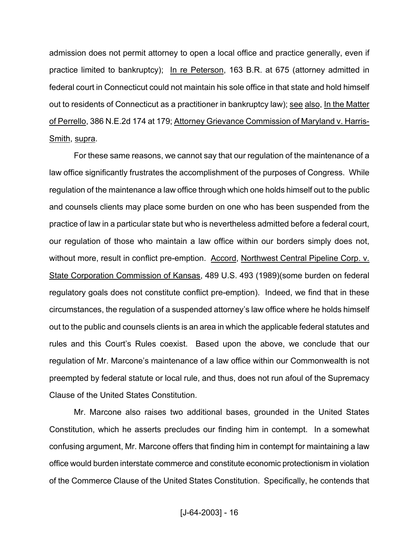admission does not permit attorney to open a local office and practice generally, even if practice limited to bankruptcy); In re Peterson, 163 B.R. at 675 (attorney admitted in federal court in Connecticut could not maintain his sole office in that state and hold himself out to residents of Connecticut as a practitioner in bankruptcy law); see also, In the Matter of Perrello, 386 N.E.2d 174 at 179; Attorney Grievance Commission of Maryland v. Harris-Smith, supra.

For these same reasons, we cannot say that our regulation of the maintenance of a law office significantly frustrates the accomplishment of the purposes of Congress. While regulation of the maintenance a law office through which one holds himself out to the public and counsels clients may place some burden on one who has been suspended from the practice of law in a particular state but who is nevertheless admitted before a federal court, our regulation of those who maintain a law office within our borders simply does not, without more, result in conflict pre-emption. Accord, Northwest Central Pipeline Corp. v. State Corporation Commission of Kansas, 489 U.S. 493 (1989)(some burden on federal regulatory goals does not constitute conflict pre-emption). Indeed, we find that in these circumstances, the regulation of a suspended attorney's law office where he holds himself out to the public and counsels clients is an area in which the applicable federal statutes and rules and this Court's Rules coexist. Based upon the above, we conclude that our regulation of Mr. Marcone's maintenance of a law office within our Commonwealth is not preempted by federal statute or local rule, and thus, does not run afoul of the Supremacy Clause of the United States Constitution.

Mr. Marcone also raises two additional bases, grounded in the United States Constitution, which he asserts precludes our finding him in contempt. In a somewhat confusing argument, Mr. Marcone offers that finding him in contempt for maintaining a law office would burden interstate commerce and constitute economic protectionism in violation of the Commerce Clause of the United States Constitution. Specifically, he contends that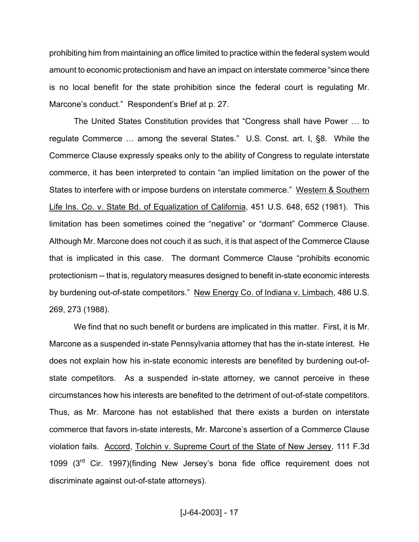prohibiting him from maintaining an office limited to practice within the federal system would amount to economic protectionism and have an impact on interstate commerce "since there is no local benefit for the state prohibition since the federal court is regulating Mr. Marcone's conduct." Respondent's Brief at p. 27.

The United States Constitution provides that "Congress shall have Power … to regulate Commerce … among the several States." U.S. Const. art. I, §8. While the Commerce Clause expressly speaks only to the ability of Congress to regulate interstate commerce, it has been interpreted to contain "an implied limitation on the power of the States to interfere with or impose burdens on interstate commerce." Western & Southern Life Ins. Co. v. State Bd. of Equalization of California, 451 U.S. 648, 652 (1981). This limitation has been sometimes coined the "negative" or "dormant" Commerce Clause. Although Mr. Marcone does not couch it as such, it is that aspect of the Commerce Clause that is implicated in this case. The dormant Commerce Clause "prohibits economic protectionism -- that is, regulatory measures designed to benefit in-state economic interests by burdening out-of-state competitors." New Energy Co. of Indiana v. Limbach, 486 U.S. 269, 273 (1988).

We find that no such benefit or burdens are implicated in this matter. First, it is Mr. Marcone as a suspended in-state Pennsylvania attorney that has the in-state interest. He does not explain how his in-state economic interests are benefited by burdening out-ofstate competitors. As a suspended in-state attorney, we cannot perceive in these circumstances how his interests are benefited to the detriment of out-of-state competitors. Thus, as Mr. Marcone has not established that there exists a burden on interstate commerce that favors in-state interests, Mr. Marcone's assertion of a Commerce Clause violation fails. Accord, Tolchin v. Supreme Court of the State of New Jersey, 111 F.3d 1099 (3<sup>rd</sup> Cir. 1997)(finding New Jersey's bona fide office requirement does not discriminate against out-of-state attorneys).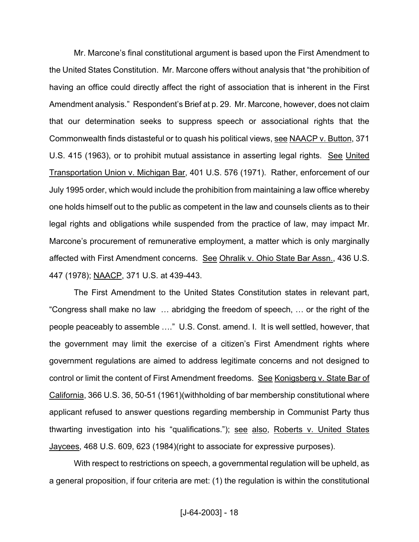Mr. Marcone's final constitutional argument is based upon the First Amendment to the United States Constitution. Mr. Marcone offers without analysis that "the prohibition of having an office could directly affect the right of association that is inherent in the First Amendment analysis." Respondent's Brief at p. 29. Mr. Marcone, however, does not claim that our determination seeks to suppress speech or associational rights that the Commonwealth finds distasteful or to quash his political views, see NAACP v. Button, 371 U.S. 415 (1963), or to prohibit mutual assistance in asserting legal rights. See United Transportation Union v. Michigan Bar, 401 U.S. 576 (1971). Rather, enforcement of our July 1995 order, which would include the prohibition from maintaining a law office whereby one holds himself out to the public as competent in the law and counsels clients as to their legal rights and obligations while suspended from the practice of law, may impact Mr. Marcone's procurement of remunerative employment, a matter which is only marginally affected with First Amendment concerns. See Ohralik v. Ohio State Bar Assn., 436 U.S. 447 (1978); NAACP, 371 U.S. at 439-443.

The First Amendment to the United States Constitution states in relevant part, "Congress shall make no law … abridging the freedom of speech, … or the right of the people peaceably to assemble …." U.S. Const. amend. I. It is well settled, however, that the government may limit the exercise of a citizen's First Amendment rights where government regulations are aimed to address legitimate concerns and not designed to control or limit the content of First Amendment freedoms. See Konigsberg v. State Bar of California, 366 U.S. 36, 50-51 (1961)(withholding of bar membership constitutional where applicant refused to answer questions regarding membership in Communist Party thus thwarting investigation into his "qualifications."); see also, Roberts v. United States Jaycees, 468 U.S. 609, 623 (1984)(right to associate for expressive purposes).

With respect to restrictions on speech, a governmental regulation will be upheld, as a general proposition, if four criteria are met: (1) the regulation is within the constitutional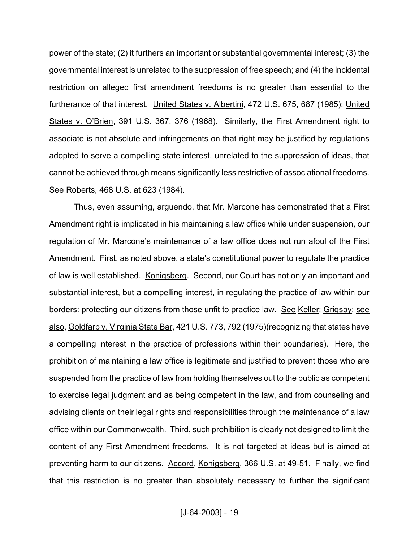power of the state; (2) it furthers an important or substantial governmental interest; (3) the governmental interest is unrelated to the suppression of free speech; and (4) the incidental restriction on alleged first amendment freedoms is no greater than essential to the furtherance of that interest. United States v. Albertini, 472 U.S. 675, 687 (1985); United States v. O'Brien, 391 U.S. 367, 376 (1968). Similarly, the First Amendment right to associate is not absolute and infringements on that right may be justified by regulations adopted to serve a compelling state interest, unrelated to the suppression of ideas, that cannot be achieved through means significantly less restrictive of associational freedoms. See Roberts, 468 U.S. at 623 (1984).

Thus, even assuming, arguendo, that Mr. Marcone has demonstrated that a First Amendment right is implicated in his maintaining a law office while under suspension, our regulation of Mr. Marcone's maintenance of a law office does not run afoul of the First Amendment. First, as noted above, a state's constitutional power to regulate the practice of law is well established. Konigsberg. Second, our Court has not only an important and substantial interest, but a compelling interest, in regulating the practice of law within our borders: protecting our citizens from those unfit to practice law. See Keller; Grigsby; see also, Goldfarb v. Virginia State Bar, 421 U.S. 773, 792 (1975)(recognizing that states have a compelling interest in the practice of professions within their boundaries). Here, the prohibition of maintaining a law office is legitimate and justified to prevent those who are suspended from the practice of law from holding themselves out to the public as competent to exercise legal judgment and as being competent in the law, and from counseling and advising clients on their legal rights and responsibilities through the maintenance of a law office within our Commonwealth. Third, such prohibition is clearly not designed to limit the content of any First Amendment freedoms. It is not targeted at ideas but is aimed at preventing harm to our citizens. Accord, Konigsberg, 366 U.S. at 49-51. Finally, we find that this restriction is no greater than absolutely necessary to further the significant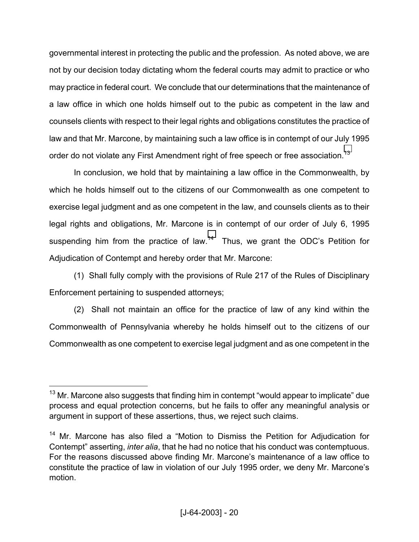governmental interest in protecting the public and the profession. As noted above, we are not by our decision today dictating whom the federal courts may admit to practice or who may practice in federal court. We conclude that our determinations that the maintenance of a law office in which one holds himself out to the pubic as competent in the law and counsels clients with respect to their legal rights and obligations constitutes the practice of law and that Mr. Marcone, by maintaining such a law office is in contempt of our July 1995 order do not violate any First Amendment right of free speech or free association.<sup>[13](#page-19-0)</sup>

In conclusion, we hold that by maintaining a law office in the Commonwealth, by which he holds himself out to the citizens of our Commonwealth as one competent to exercise legal judgment and as one competent in the law, and counsels clients as to their legal rights and obligations, Mr. Marcone is in contempt of our order of July 6, 1995 suspending him from the practice of law.<sup>14</sup> Thus, we grant the ODC's Petition for Adjudication of Contempt and hereby order that Mr. Marcone:

(1) Shall fully comply with the provisions of Rule 217 of the Rules of Disciplinary Enforcement pertaining to suspended attorneys;

(2) Shall not maintain an office for the practice of law of any kind within the Commonwealth of Pennsylvania whereby he holds himself out to the citizens of our Commonwealth as one competent to exercise legal judgment and as one competent in the

 $\overline{a}$ 

<span id="page-19-0"></span> $13$  Mr. Marcone also suggests that finding him in contempt "would appear to implicate" due process and equal protection concerns, but he fails to offer any meaningful analysis or argument in support of these assertions, thus, we reject such claims.

<span id="page-19-1"></span><sup>&</sup>lt;sup>14</sup> Mr. Marcone has also filed a "Motion to Dismiss the Petition for Adjudication for Contempt" asserting, *inter alia*, that he had no notice that his conduct was contemptuous. For the reasons discussed above finding Mr. Marcone's maintenance of a law office to constitute the practice of law in violation of our July 1995 order, we deny Mr. Marcone's motion.